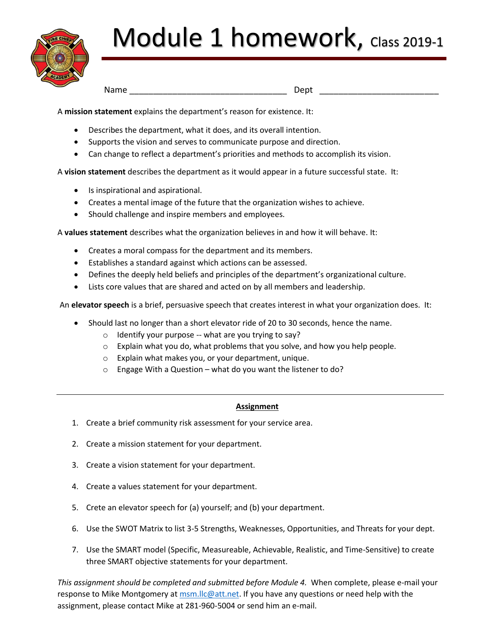

# Module 1 homework, Class 2019-1

Name \_\_\_\_\_\_\_\_\_\_\_\_\_\_\_\_\_\_\_\_\_\_\_\_\_\_\_\_\_\_\_\_\_ Dept \_\_\_\_\_\_\_\_\_\_\_\_\_\_\_\_\_\_\_\_\_\_\_\_\_

A **mission statement** explains the department's reason for existence. It:

- Describes the department, what it does, and its overall intention.
- Supports the vision and serves to communicate purpose and direction.
- Can change to reflect a department's priorities and methods to accomplish its vision.

A **vision statement** describes the department as it would appear in a future successful state. It:

- Is inspirational and aspirational.
- Creates a mental image of the future that the organization wishes to achieve.
- Should challenge and inspire members and employees.

A **values statement** describes what the organization believes in and how it will behave. It:

- Creates a moral compass for the department and its members.
- Establishes a standard against which actions can be assessed.
- Defines the deeply held beliefs and principles of the department's organizational culture.
- Lists core values that are shared and acted on by all members and leadership.

An **elevator speech** is a brief, persuasive speech that creates interest in what your organization does. It:

- Should last no longer than a short elevator ride of 20 to 30 seconds, hence the name.
	- $\circ$  Identify your purpose -- what are you trying to say?
	- o Explain what you do, what problems that you solve, and how you help people.
	- o Explain what makes you, or your department, unique.
	- o Engage With a Question what do you want the listener to do?

#### **Assignment**

- 1. Create a brief community risk assessment for your service area.
- 2. Create a mission statement for your department.
- 3. Create a vision statement for your department.
- 4. Create a values statement for your department.
- 5. Crete an elevator speech for (a) yourself; and (b) your department.
- 6. Use the SWOT Matrix to list 3-5 Strengths, Weaknesses, Opportunities, and Threats for your dept.
- 7. Use the SMART model (Specific, Measureable, Achievable, Realistic, and Time-Sensitive) to create three SMART objective statements for your department.

*This assignment should be completed and submitted before Module 4.* When complete, please e-mail your response to Mike Montgomery a[t msm.llc@att.net.](mailto:msm.llc@att.net) If you have any questions or need help with the assignment, please contact Mike at 281-960-5004 or send him an e-mail.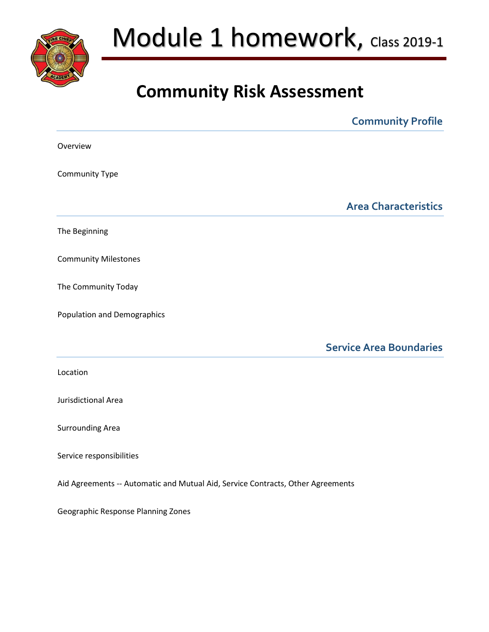

## Module 1 homework, Class 2019-1

### **Community Risk Assessment**

|                                                                                 | <b>Community Profile</b>       |
|---------------------------------------------------------------------------------|--------------------------------|
| Overview                                                                        |                                |
| Community Type                                                                  |                                |
|                                                                                 | <b>Area Characteristics</b>    |
| The Beginning                                                                   |                                |
| <b>Community Milestones</b>                                                     |                                |
| The Community Today                                                             |                                |
| <b>Population and Demographics</b>                                              |                                |
|                                                                                 | <b>Service Area Boundaries</b> |
| Location                                                                        |                                |
| Jurisdictional Area                                                             |                                |
| <b>Surrounding Area</b>                                                         |                                |
| Service responsibilities                                                        |                                |
| Aid Agreements -- Automatic and Mutual Aid, Service Contracts, Other Agreements |                                |
| Geographic Response Planning Zones                                              |                                |